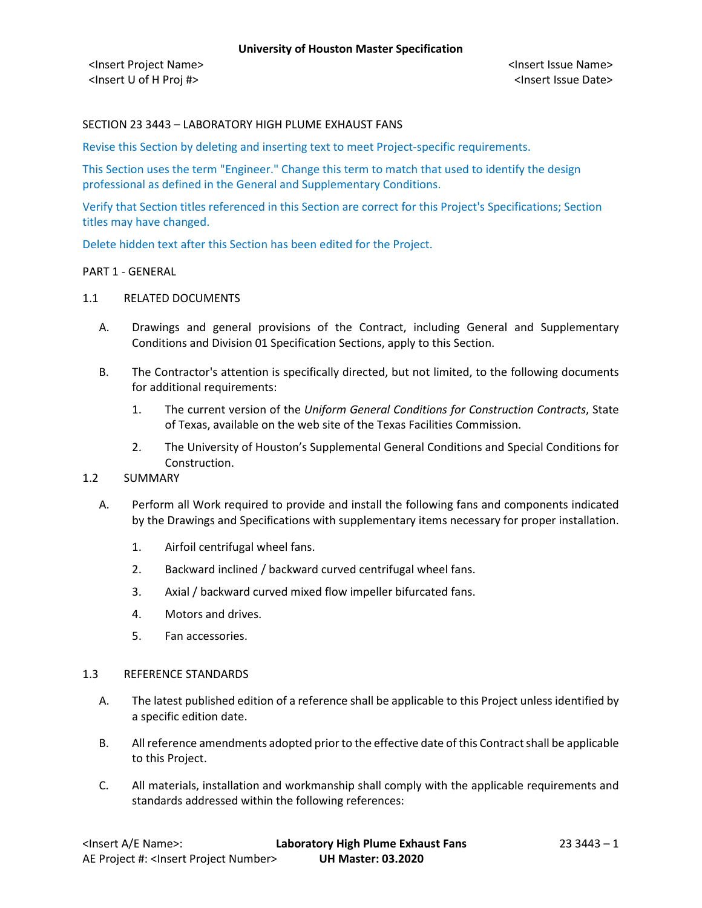## SECTION 23 3443 – LABORATORY HIGH PLUME EXHAUST FANS

Revise this Section by deleting and inserting text to meet Project-specific requirements.

This Section uses the term "Engineer." Change this term to match that used to identify the design professional as defined in the General and Supplementary Conditions.

Verify that Section titles referenced in this Section are correct for this Project's Specifications; Section titles may have changed.

Delete hidden text after this Section has been edited for the Project.

#### PART 1 - GENERAL

## 1.1 RELATED DOCUMENTS

- A. Drawings and general provisions of the Contract, including General and Supplementary Conditions and Division 01 Specification Sections, apply to this Section.
- B. The Contractor's attention is specifically directed, but not limited, to the following documents for additional requirements:
	- 1. The current version of the *Uniform General Conditions for Construction Contracts*, State of Texas, available on the web site of the Texas Facilities Commission.
	- 2. The University of Houston's Supplemental General Conditions and Special Conditions for Construction.

## 1.2 SUMMARY

- A. Perform all Work required to provide and install the following fans and components indicated by the Drawings and Specifications with supplementary items necessary for proper installation.
	- 1. Airfoil centrifugal wheel fans.
	- 2. Backward inclined / backward curved centrifugal wheel fans.
	- 3. Axial / backward curved mixed flow impeller bifurcated fans.
	- 4. Motors and drives.
	- 5. Fan accessories.

#### 1.3 REFERENCE STANDARDS

- A. The latest published edition of a reference shall be applicable to this Project unless identified by a specific edition date.
- B. All reference amendments adopted prior to the effective date of this Contract shall be applicable to this Project.
- C. All materials, installation and workmanship shall comply with the applicable requirements and standards addressed within the following references: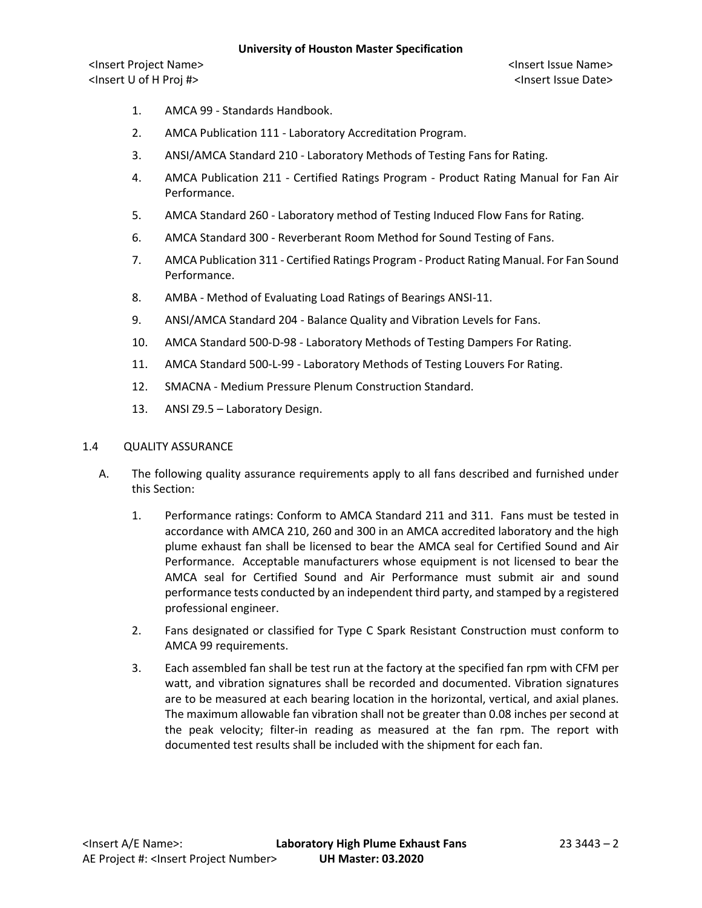<Insert Project Name> <Insert Issue Name> <Insert U of H Proj #> <Insert Issue Date>

- 1. AMCA 99 Standards Handbook.
- 2. AMCA Publication 111 Laboratory Accreditation Program.
- 3. ANSI/AMCA Standard 210 Laboratory Methods of Testing Fans for Rating.
- 4. AMCA Publication 211 Certified Ratings Program Product Rating Manual for Fan Air Performance.
- 5. AMCA Standard 260 Laboratory method of Testing Induced Flow Fans for Rating.
- 6. AMCA Standard 300 Reverberant Room Method for Sound Testing of Fans.
- 7. AMCA Publication 311 Certified Ratings Program Product Rating Manual. For Fan Sound Performance.
- 8. AMBA Method of Evaluating Load Ratings of Bearings ANSI-11.
- 9. ANSI/AMCA Standard 204 Balance Quality and Vibration Levels for Fans.
- 10. AMCA Standard 500-D-98 Laboratory Methods of Testing Dampers For Rating.
- 11. AMCA Standard 500-L-99 Laboratory Methods of Testing Louvers For Rating.
- 12. SMACNA Medium Pressure Plenum Construction Standard.
- 13. ANSI Z9.5 Laboratory Design.

#### 1.4 QUALITY ASSURANCE

- A. The following quality assurance requirements apply to all fans described and furnished under this Section:
	- 1. Performance ratings: Conform to AMCA Standard 211 and 311. Fans must be tested in accordance with AMCA 210, 260 and 300 in an AMCA accredited laboratory and the high plume exhaust fan shall be licensed to bear the AMCA seal for Certified Sound and Air Performance. Acceptable manufacturers whose equipment is not licensed to bear the AMCA seal for Certified Sound and Air Performance must submit air and sound performance tests conducted by an independent third party, and stamped by a registered professional engineer.
	- 2. Fans designated or classified for Type C Spark Resistant Construction must conform to AMCA 99 requirements.
	- 3. Each assembled fan shall be test run at the factory at the specified fan rpm with CFM per watt, and vibration signatures shall be recorded and documented. Vibration signatures are to be measured at each bearing location in the horizontal, vertical, and axial planes. The maximum allowable fan vibration shall not be greater than 0.08 inches per second at the peak velocity; filter-in reading as measured at the fan rpm. The report with documented test results shall be included with the shipment for each fan.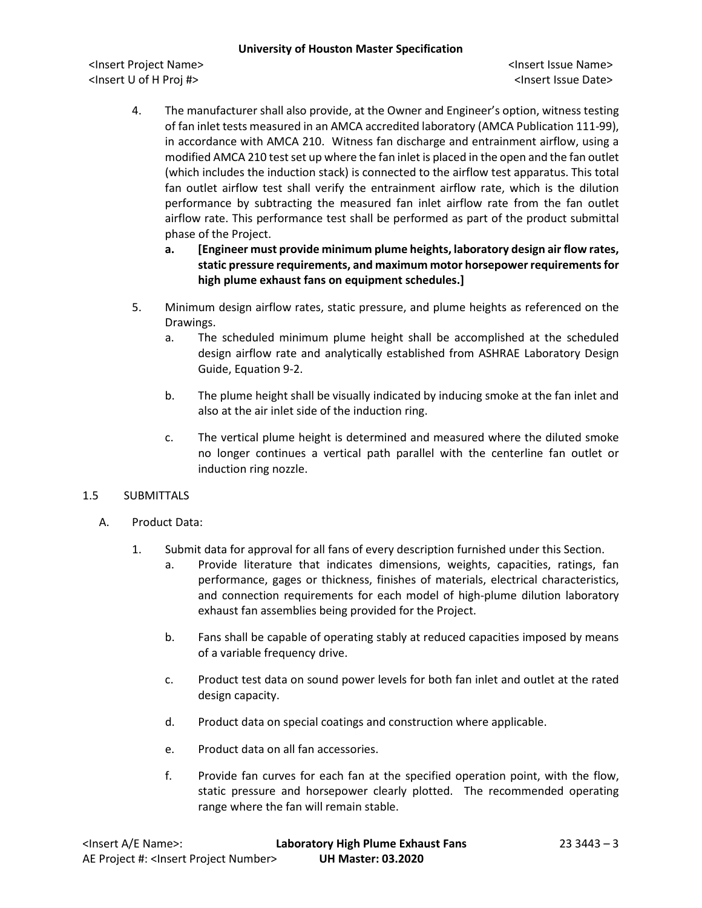<Insert Project Name> <Insert Issue Name> <Insert U of H Proj #> <Insert Issue Date>

- 4. The manufacturer shall also provide, at the Owner and Engineer's option, witness testing of fan inlet tests measured in an AMCA accredited laboratory (AMCA Publication 111-99), in accordance with AMCA 210. Witness fan discharge and entrainment airflow, using a modified AMCA 210 test set up where the fan inlet is placed in the open and the fan outlet (which includes the induction stack) is connected to the airflow test apparatus. This total fan outlet airflow test shall verify the entrainment airflow rate, which is the dilution performance by subtracting the measured fan inlet airflow rate from the fan outlet airflow rate. This performance test shall be performed as part of the product submittal phase of the Project.
	- **a. [Engineer must provide minimum plume heights, laboratory design air flow rates, static pressure requirements, and maximum motor horsepower requirements for high plume exhaust fans on equipment schedules.]**
- 5. Minimum design airflow rates, static pressure, and plume heights as referenced on the Drawings.
	- a. The scheduled minimum plume height shall be accomplished at the scheduled design airflow rate and analytically established from ASHRAE Laboratory Design Guide, Equation 9-2.
	- b. The plume height shall be visually indicated by inducing smoke at the fan inlet and also at the air inlet side of the induction ring.
	- c. The vertical plume height is determined and measured where the diluted smoke no longer continues a vertical path parallel with the centerline fan outlet or induction ring nozzle.

# 1.5 SUBMITTALS

- A. Product Data:
	- 1. Submit data for approval for all fans of every description furnished under this Section.
		- a. Provide literature that indicates dimensions, weights, capacities, ratings, fan performance, gages or thickness, finishes of materials, electrical characteristics, and connection requirements for each model of high-plume dilution laboratory exhaust fan assemblies being provided for the Project.
		- b. Fans shall be capable of operating stably at reduced capacities imposed by means of a variable frequency drive.
		- c. Product test data on sound power levels for both fan inlet and outlet at the rated design capacity.
		- d. Product data on special coatings and construction where applicable.
		- e. Product data on all fan accessories.
		- f. Provide fan curves for each fan at the specified operation point, with the flow, static pressure and horsepower clearly plotted. The recommended operating range where the fan will remain stable.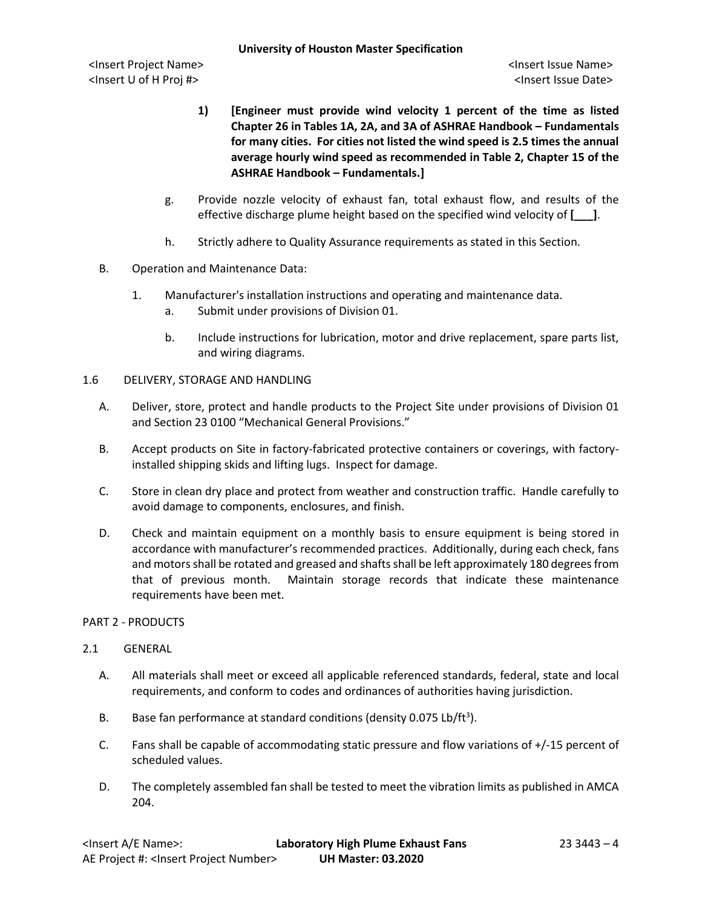- **1) [Engineer must provide wind velocity 1 percent of the time as listed Chapter 26 in Tables 1A, 2A, and 3A of ASHRAE Handbook – Fundamentals for many cities. For cities not listed the wind speed is 2.5 times the annual average hourly wind speed as recommended in Table 2, Chapter 15 of the ASHRAE Handbook – Fundamentals.]**
- g. Provide nozzle velocity of exhaust fan, total exhaust flow, and results of the effective discharge plume height based on the specified wind velocity of **[\_\_\_]**.
- h. Strictly adhere to Quality Assurance requirements as stated in this Section.
- B. Operation and Maintenance Data:
	- 1. Manufacturer's installation instructions and operating and maintenance data.
		- a. Submit under provisions of Division 01.
		- b. Include instructions for lubrication, motor and drive replacement, spare parts list, and wiring diagrams.
- 1.6 DELIVERY, STORAGE AND HANDLING
	- A. Deliver, store, protect and handle products to the Project Site under provisions of Division 01 and Section 23 0100 "Mechanical General Provisions."
	- B. Accept products on Site in factory-fabricated protective containers or coverings, with factoryinstalled shipping skids and lifting lugs. Inspect for damage.
	- C. Store in clean dry place and protect from weather and construction traffic. Handle carefully to avoid damage to components, enclosures, and finish.
	- D. Check and maintain equipment on a monthly basis to ensure equipment is being stored in accordance with manufacturer's recommended practices. Additionally, during each check, fans and motors shall be rotated and greased and shafts shall be left approximately 180 degrees from that of previous month. Maintain storage records that indicate these maintenance requirements have been met.
- PART 2 PRODUCTS
- 2.1 GENERAL
	- A. All materials shall meet or exceed all applicable referenced standards, federal, state and local requirements, and conform to codes and ordinances of authorities having jurisdiction.
	- B. Base fan performance at standard conditions (density  $0.075$  Lb/ft<sup>3</sup>).
	- C. Fans shall be capable of accommodating static pressure and flow variations of +/-15 percent of scheduled values.
	- D. The completely assembled fan shall be tested to meet the vibration limits as published in AMCA 204.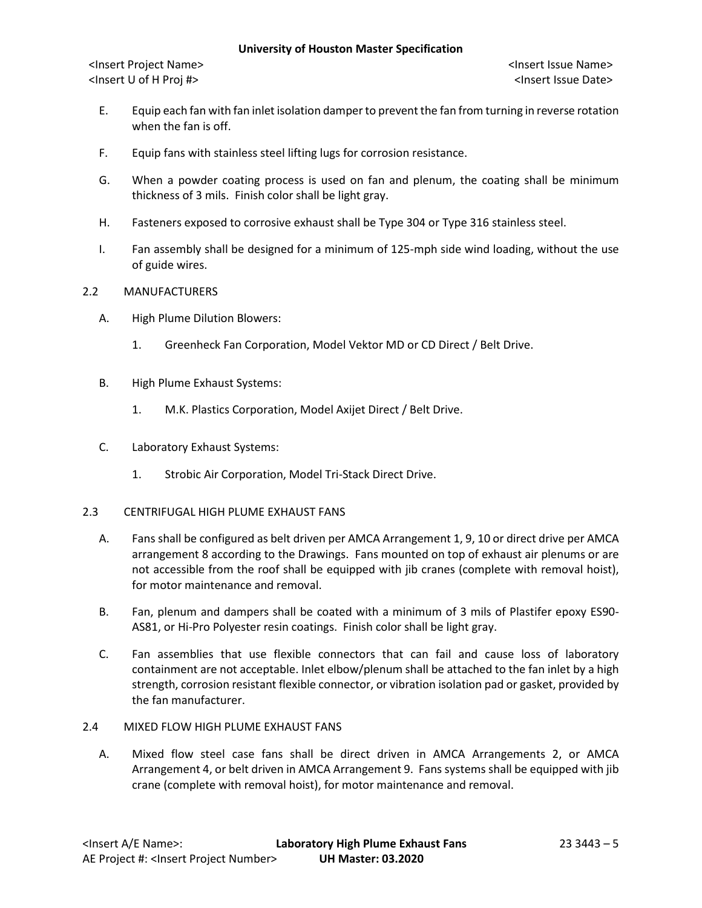<Insert Project Name> <Insert Issue Name> <Insert U of H Proj #> <Insert Issue Date>

- E. Equip each fan with fan inlet isolation damper to prevent the fan from turning in reverse rotation when the fan is off.
- F. Equip fans with stainless steel lifting lugs for corrosion resistance.
- G. When a powder coating process is used on fan and plenum, the coating shall be minimum thickness of 3 mils. Finish color shall be light gray.
- H. Fasteners exposed to corrosive exhaust shall be Type 304 or Type 316 stainless steel.
- I. Fan assembly shall be designed for a minimum of 125-mph side wind loading, without the use of guide wires.

### 2.2 MANUFACTURERS

- A. High Plume Dilution Blowers:
	- 1. Greenheck Fan Corporation, Model Vektor MD or CD Direct / Belt Drive.
- B. High Plume Exhaust Systems:
	- 1. M.K. Plastics Corporation, Model Axijet Direct / Belt Drive.
- C. Laboratory Exhaust Systems:
	- 1. Strobic Air Corporation, Model Tri-Stack Direct Drive.

### 2.3 CENTRIFUGAL HIGH PLUME EXHAUST FANS

- A. Fans shall be configured as belt driven per AMCA Arrangement 1, 9, 10 or direct drive per AMCA arrangement 8 according to the Drawings. Fans mounted on top of exhaust air plenums or are not accessible from the roof shall be equipped with jib cranes (complete with removal hoist), for motor maintenance and removal.
- B. Fan, plenum and dampers shall be coated with a minimum of 3 mils of Plastifer epoxy ES90- AS81, or Hi-Pro Polyester resin coatings. Finish color shall be light gray.
- C. Fan assemblies that use flexible connectors that can fail and cause loss of laboratory containment are not acceptable. Inlet elbow/plenum shall be attached to the fan inlet by a high strength, corrosion resistant flexible connector, or vibration isolation pad or gasket, provided by the fan manufacturer.
- 2.4 MIXED FLOW HIGH PLUME EXHAUST FANS
	- A. Mixed flow steel case fans shall be direct driven in AMCA Arrangements 2, or AMCA Arrangement 4, or belt driven in AMCA Arrangement 9. Fans systems shall be equipped with jib crane (complete with removal hoist), for motor maintenance and removal.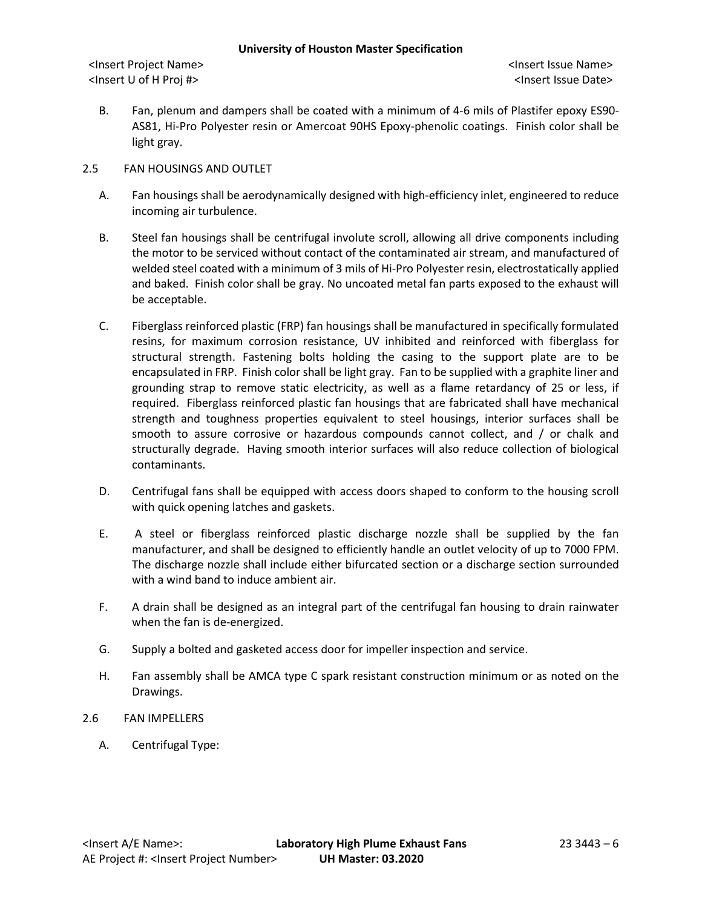<Insert Project Name> <Insert Issue Name> <Insert U of H Proj #> <Insert Issue Date>

B. Fan, plenum and dampers shall be coated with a minimum of 4-6 mils of Plastifer epoxy ES90- AS81, Hi-Pro Polyester resin or Amercoat 90HS Epoxy-phenolic coatings. Finish color shall be light gray.

## 2.5 FAN HOUSINGS AND OUTLET

- A. Fan housings shall be aerodynamically designed with high-efficiency inlet, engineered to reduce incoming air turbulence.
- B. Steel fan housings shall be centrifugal involute scroll, allowing all drive components including the motor to be serviced without contact of the contaminated air stream, and manufactured of welded steel coated with a minimum of 3 mils of Hi-Pro Polyester resin, electrostatically applied and baked. Finish color shall be gray. No uncoated metal fan parts exposed to the exhaust will be acceptable.
- C. Fiberglass reinforced plastic (FRP) fan housings shall be manufactured in specifically formulated resins, for maximum corrosion resistance, UV inhibited and reinforced with fiberglass for structural strength. Fastening bolts holding the casing to the support plate are to be encapsulated in FRP. Finish color shall be light gray. Fan to be supplied with a graphite liner and grounding strap to remove static electricity, as well as a flame retardancy of 25 or less, if required. Fiberglass reinforced plastic fan housings that are fabricated shall have mechanical strength and toughness properties equivalent to steel housings, interior surfaces shall be smooth to assure corrosive or hazardous compounds cannot collect, and / or chalk and structurally degrade. Having smooth interior surfaces will also reduce collection of biological contaminants.
- D. Centrifugal fans shall be equipped with access doors shaped to conform to the housing scroll with quick opening latches and gaskets.
- E. A steel or fiberglass reinforced plastic discharge nozzle shall be supplied by the fan manufacturer, and shall be designed to efficiently handle an outlet velocity of up to 7000 FPM. The discharge nozzle shall include either bifurcated section or a discharge section surrounded with a wind band to induce ambient air.
- F. A drain shall be designed as an integral part of the centrifugal fan housing to drain rainwater when the fan is de-energized.
- G. Supply a bolted and gasketed access door for impeller inspection and service.
- H. Fan assembly shall be AMCA type C spark resistant construction minimum or as noted on the Drawings.
- 2.6 FAN IMPELLERS
	- A. Centrifugal Type: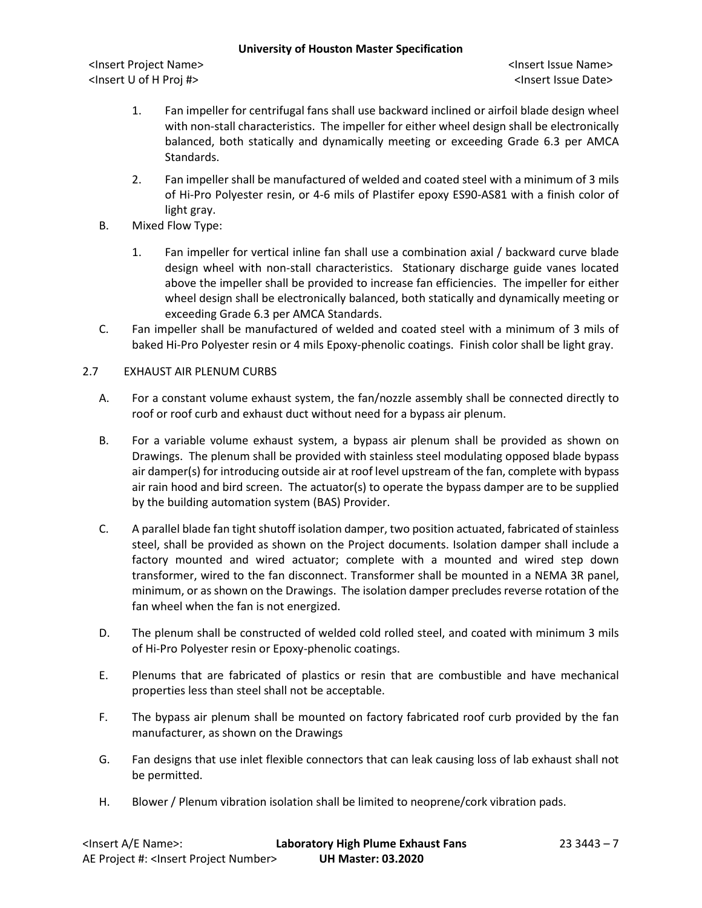<Insert Project Name> <Insert Issue Name> <Insert U of H Proj #> <Insert Issue Date>

- 1. Fan impeller for centrifugal fans shall use backward inclined or airfoil blade design wheel with non-stall characteristics. The impeller for either wheel design shall be electronically balanced, both statically and dynamically meeting or exceeding Grade 6.3 per AMCA Standards.
- 2. Fan impeller shall be manufactured of welded and coated steel with a minimum of 3 mils of Hi-Pro Polyester resin, or 4-6 mils of Plastifer epoxy ES90-AS81 with a finish color of light gray.
- B. Mixed Flow Type:
	- 1. Fan impeller for vertical inline fan shall use a combination axial / backward curve blade design wheel with non-stall characteristics. Stationary discharge guide vanes located above the impeller shall be provided to increase fan efficiencies. The impeller for either wheel design shall be electronically balanced, both statically and dynamically meeting or exceeding Grade 6.3 per AMCA Standards.
- C. Fan impeller shall be manufactured of welded and coated steel with a minimum of 3 mils of baked Hi-Pro Polyester resin or 4 mils Epoxy-phenolic coatings. Finish color shall be light gray.

## 2.7 EXHAUST AIR PLENUM CURBS

- A. For a constant volume exhaust system, the fan/nozzle assembly shall be connected directly to roof or roof curb and exhaust duct without need for a bypass air plenum.
- B. For a variable volume exhaust system, a bypass air plenum shall be provided as shown on Drawings. The plenum shall be provided with stainless steel modulating opposed blade bypass air damper(s) for introducing outside air at roof level upstream of the fan, complete with bypass air rain hood and bird screen. The actuator(s) to operate the bypass damper are to be supplied by the building automation system (BAS) Provider.
- C. A parallel blade fan tight shutoff isolation damper, two position actuated, fabricated of stainless steel, shall be provided as shown on the Project documents. Isolation damper shall include a factory mounted and wired actuator; complete with a mounted and wired step down transformer, wired to the fan disconnect. Transformer shall be mounted in a NEMA 3R panel, minimum, or as shown on the Drawings. The isolation damper precludes reverse rotation of the fan wheel when the fan is not energized.
- D. The plenum shall be constructed of welded cold rolled steel, and coated with minimum 3 mils of Hi-Pro Polyester resin or Epoxy-phenolic coatings.
- E. Plenums that are fabricated of plastics or resin that are combustible and have mechanical properties less than steel shall not be acceptable.
- F. The bypass air plenum shall be mounted on factory fabricated roof curb provided by the fan manufacturer, as shown on the Drawings
- G. Fan designs that use inlet flexible connectors that can leak causing loss of lab exhaust shall not be permitted.
- H. Blower / Plenum vibration isolation shall be limited to neoprene/cork vibration pads.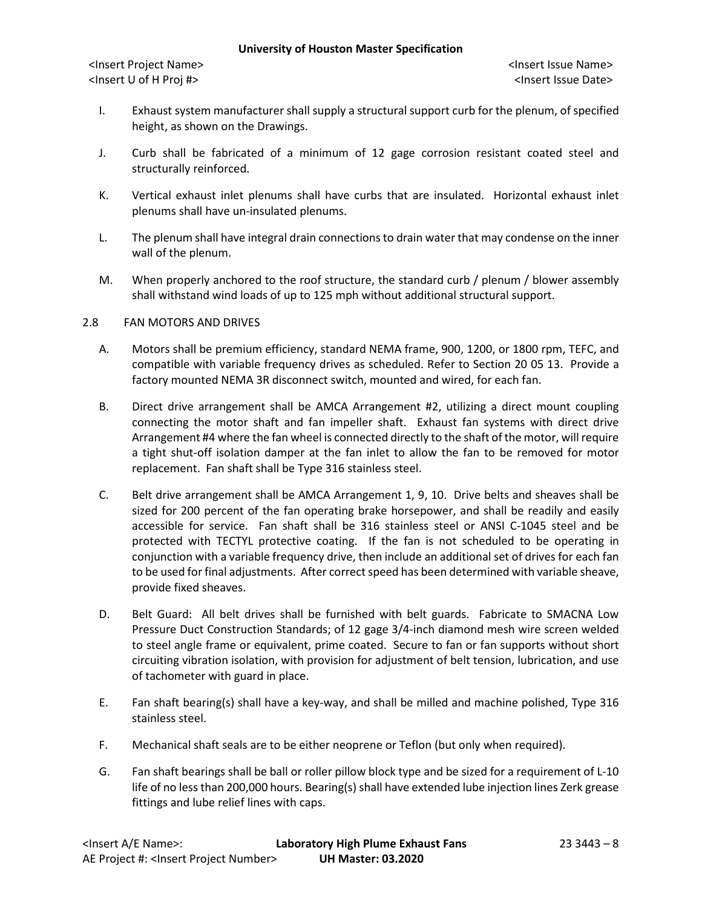<Insert Project Name> <Insert Issue Name> <Insert U of H Proj #> <Insert Issue Date>

- I. Exhaust system manufacturer shall supply a structural support curb for the plenum, of specified height, as shown on the Drawings.
- J. Curb shall be fabricated of a minimum of 12 gage corrosion resistant coated steel and structurally reinforced.
- K. Vertical exhaust inlet plenums shall have curbs that are insulated. Horizontal exhaust inlet plenums shall have un-insulated plenums.
- L. The plenum shall have integral drain connections to drain water that may condense on the inner wall of the plenum.
- M. When properly anchored to the roof structure, the standard curb / plenum / blower assembly shall withstand wind loads of up to 125 mph without additional structural support.

# 2.8 FAN MOTORS AND DRIVES

- A. Motors shall be premium efficiency, standard NEMA frame, 900, 1200, or 1800 rpm, TEFC, and compatible with variable frequency drives as scheduled. Refer to Section 20 05 13. Provide a factory mounted NEMA 3R disconnect switch, mounted and wired, for each fan.
- B. Direct drive arrangement shall be AMCA Arrangement #2, utilizing a direct mount coupling connecting the motor shaft and fan impeller shaft. Exhaust fan systems with direct drive Arrangement #4 where the fan wheel is connected directly to the shaft of the motor, will require a tight shut-off isolation damper at the fan inlet to allow the fan to be removed for motor replacement. Fan shaft shall be Type 316 stainless steel.
- C. Belt drive arrangement shall be AMCA Arrangement 1, 9, 10. Drive belts and sheaves shall be sized for 200 percent of the fan operating brake horsepower, and shall be readily and easily accessible for service. Fan shaft shall be 316 stainless steel or ANSI C-1045 steel and be protected with TECTYL protective coating. If the fan is not scheduled to be operating in conjunction with a variable frequency drive, then include an additional set of drives for each fan to be used for final adjustments. After correct speed has been determined with variable sheave, provide fixed sheaves.
- D. Belt Guard: All belt drives shall be furnished with belt guards. Fabricate to SMACNA Low Pressure Duct Construction Standards; of 12 gage 3/4-inch diamond mesh wire screen welded to steel angle frame or equivalent, prime coated. Secure to fan or fan supports without short circuiting vibration isolation, with provision for adjustment of belt tension, lubrication, and use of tachometer with guard in place.
- E. Fan shaft bearing(s) shall have a key-way, and shall be milled and machine polished, Type 316 stainless steel.
- F. Mechanical shaft seals are to be either neoprene or Teflon (but only when required).
- G. Fan shaft bearings shall be ball or roller pillow block type and be sized for a requirement of L-10 life of no less than 200,000 hours. Bearing(s) shall have extended lube injection lines Zerk grease fittings and lube relief lines with caps.